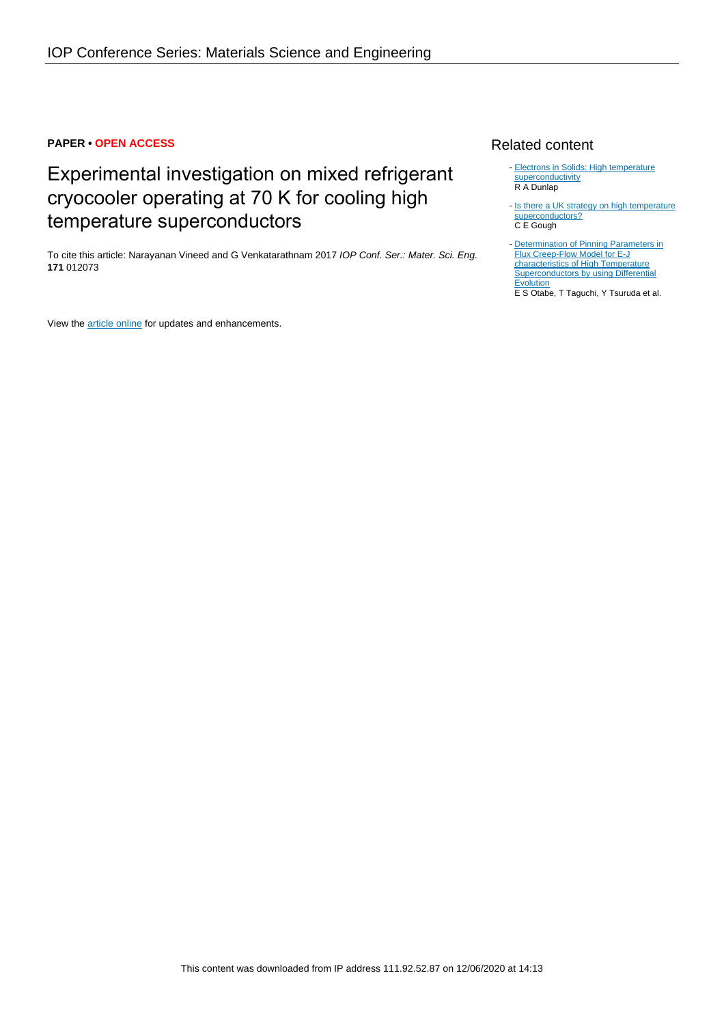# **PAPER • OPEN ACCESS**

# Experimental investigation on mixed refrigerant cryocooler operating at 70 K for cooling high temperature superconductors

To cite this article: Narayanan Vineed and G Venkatarathnam 2017 IOP Conf. Ser.: Mater. Sci. Eng. **171** 012073

View the **[article online](https://doi.org/10.1088/1757-899X/171/1/012073)** for updates and enhancements.

# Related content

- [Electrons in Solids: High temperature](http://iopscience.iop.org/book/978-1-64327-690-8/chapter/bk978-1-64327-690-8ch10) [superconductivity](http://iopscience.iop.org/book/978-1-64327-690-8/chapter/bk978-1-64327-690-8ch10) R A Dunlap
- [Is there a UK strategy on high temperature](http://iopscience.iop.org/article/10.1088/0031-9112/38/6/016) [superconductors?](http://iopscience.iop.org/article/10.1088/0031-9112/38/6/016) C E Gough -
- [Determination of Pinning Parameters in](http://iopscience.iop.org/article/10.1088/1742-6596/871/1/012046) [Flux Creep-Flow Model for E-J](http://iopscience.iop.org/article/10.1088/1742-6596/871/1/012046) [characteristics of High Temperature](http://iopscience.iop.org/article/10.1088/1742-6596/871/1/012046) [Superconductors by using Differential](http://iopscience.iop.org/article/10.1088/1742-6596/871/1/012046) **[Evolution](http://iopscience.iop.org/article/10.1088/1742-6596/871/1/012046)**

E S Otabe, T Taguchi, Y Tsuruda et al.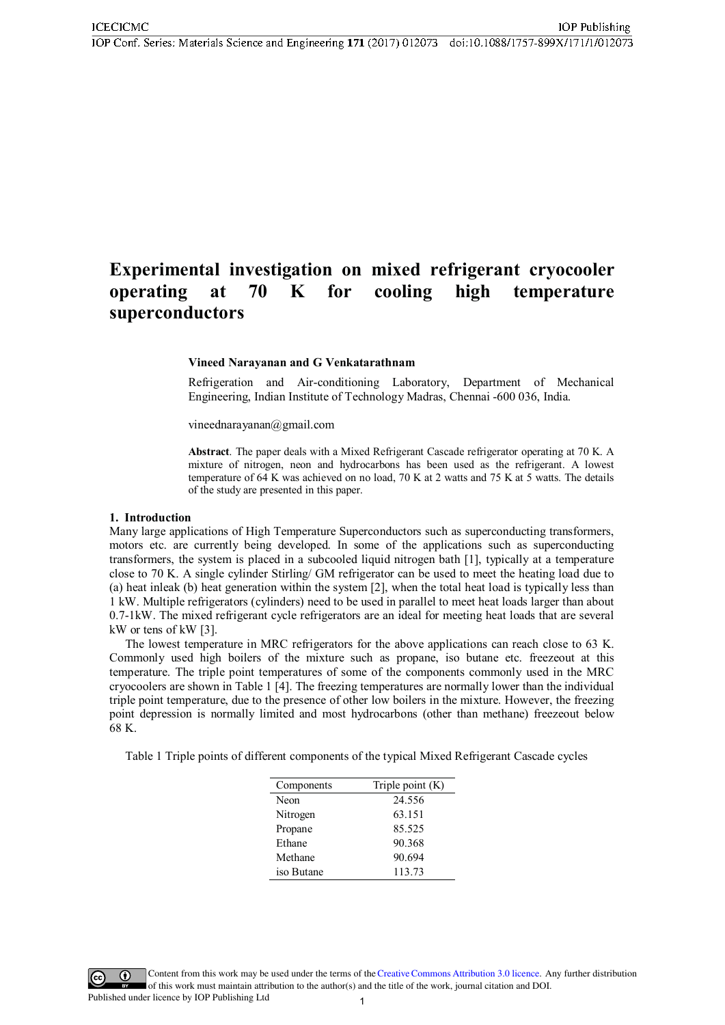IOP Conf. Series: Materials Science and Engineering 171 (2017) 012073 doi:10.1088/1757-899X/171/1/012073

#### Experimental investigation on mixed refrigerant cryocooler operating  $\mathbf K$ for high at 70 cooling temperature superconductors

#### Vineed Narayanan and G Venkatarathnam

Refrigeration and Air-conditioning Laboratory, Department of Mechanical Engineering, Indian Institute of Technology Madras, Chennai -600 036, India.

vineednarayanan@gmail.com

**Abstract**. The paper deals with a Mixed Refrigerant Cascade refrigerator operating at 70 K. A mixture of nitrogen, neon and hydrocarbons has been used as the refrigerant. A lowest temperature of 64 K was achieved on no load, 70 K at 2 watts and 75 K at 5 watts. The details of the study are presented in this paper.

#### 1. Introduction

Many large applications of High Temperature Superconductors such as superconducting transformers, motors etc. are currently being developed. In some of the applications such as superconducting transformers, the system is placed in a subcooled liquid nitrogen bath [1], typically at a temperature close to 70 K. A single cylinder Stirling/ GM refrigerator can be used to meet the heating load due to (a) heat inleak (b) heat generation within the system [2], when the total heat load is typically less than 1 kW. Multiple refrigerators (cylinders) need to be used in parallel to meet heat loads larger than about 0.7-1 kW. The mixed refrigerant cycle refrigerators are an ideal for meeting heat loads that are several kW or tens of kW  $[3]$ .

The lowest temperature in MRC refrigerators for the above applications can reach close to 63 K. Commonly used high boilers of the mixture such as propane, iso butane etc. freezeout at this temperature. The triple point temperatures of some of the components commonly used in the MRC cryocoolers are shown in Table 1 [4]. The freezing temperatures are normally lower than the individual triple point temperature, due to the presence of other low boilers in the mixture. However, the freezing point depression is normally limited and most hydrocarbons (other than methane) freezeout below 68 K.

Table 1 Triple points of different components of the typical Mixed Refrigerant Cascade cycles

| Components | Triple point $(K)$ |
|------------|--------------------|
| Neon       | 24.556             |
| Nitrogen   | 63.151             |
| Propane    | 85.525             |
| Ethane     | 90.368             |
| Methane    | 90.694             |
| iso Butane | 113.73             |

Content from this work may be used under the terms of the Creative Commons Attribution 3.0 licence. Any further distribution of this work must maintain attribution to the author(s) and the title of the work, journal citation and DOI.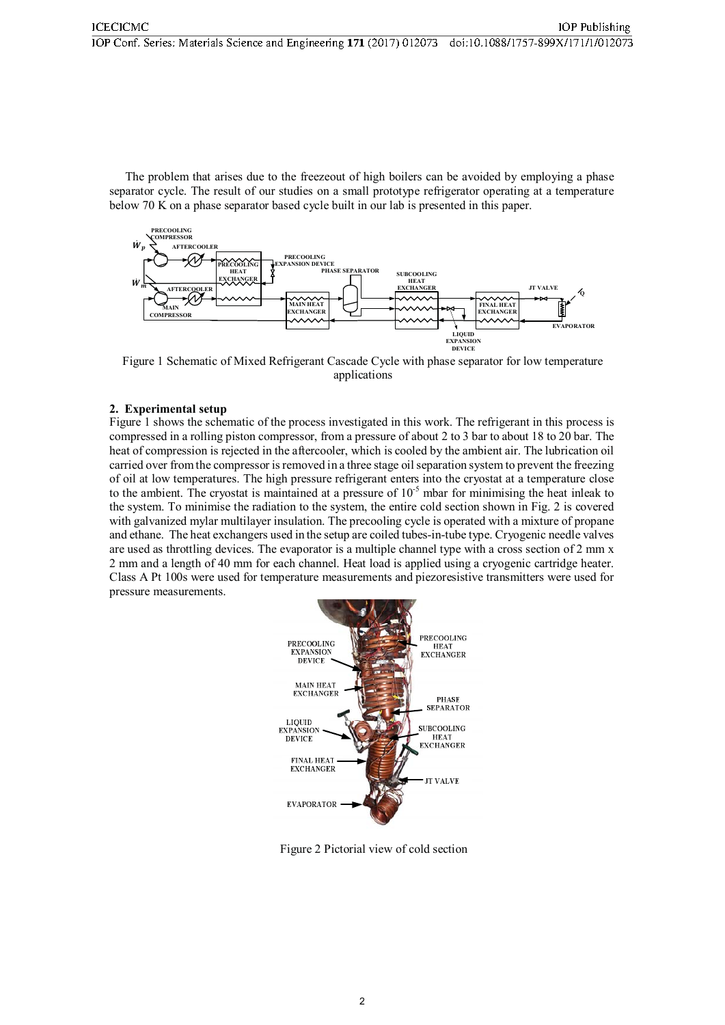The problem that arises due to the freezeout of high boilers can be avoided by employing a phase separator cycle. The result of our studies on a small prototype refrigerator operating at a temperature below 70 K on a phase separator based cycle built in our lab is presented in this paper.



Figure 1 Schematic of Mixed Refrigerant Cascade Cycle with phase separator for low temperature applications

# 2. Experimental setup

Figure 1 shows the schematic of the process investigated in this work. The refrigerant in this process is compressed in a rolling piston compressor, from a pressure of about 2 to 3 bar to about 18 to 20 bar. The heat of compression is rejected in the aftercooler, which is cooled by the ambient air. The lubrication oil carried over from the compressor is removed in a three stage oil separation system to prevent the freezing of oil at low temperatures. The high pressure refrigerant enters into the cryostat at a temperature close to the ambient. The cryostat is maintained at a pressure of  $10^{-5}$  mbar for minimising the heat inleak to the system. To minimise the radiation to the system, the entire cold section shown in Fig. 2 is covered with galvanized mylar multilayer insulation. The precooling cycle is operated with a mixture of propane and ethane. The heat exchangers used in the setup are coiled tubes-in-tube type. Cryogenic needle valves are used as throttling devices. The evaporator is a multiple channel type with a cross section of 2 mm x 2 mm and a length of 40 mm for each channel. Heat load is applied using a cryogenic cartridge heater. Class A Pt 100s were used for temperature measurements and piezoresistive transmitters were used for pressure measurements.



Figure 2 Pictorial view of cold section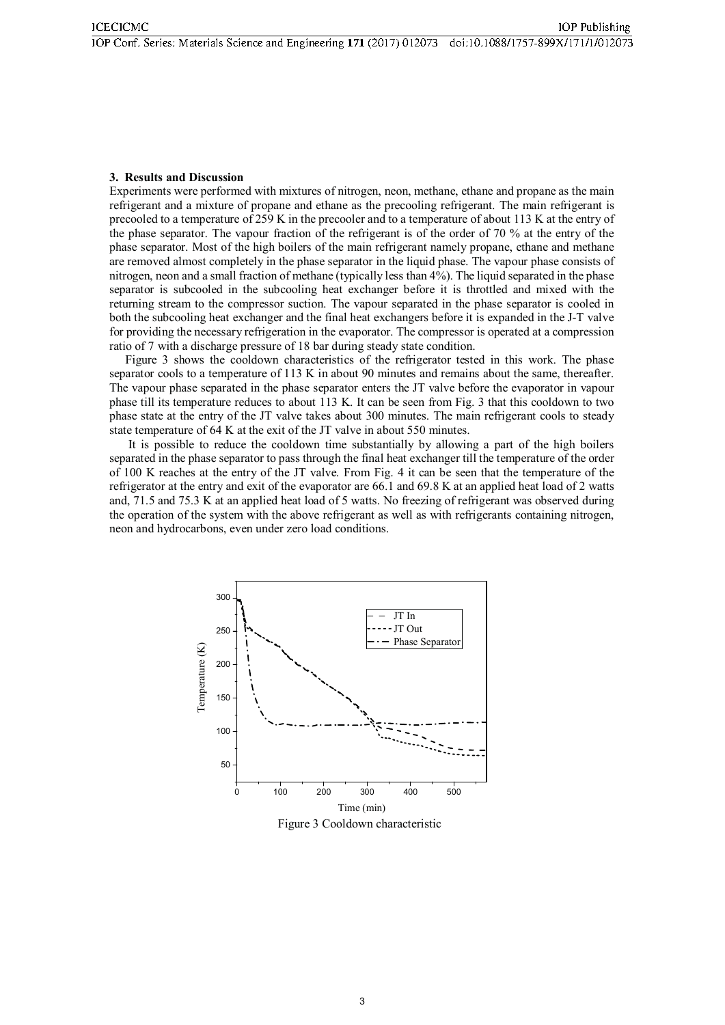### 3. Results and Discussion

Experiments were performed with mixtures of nitrogen, neon, methane, ethane and propane as the main refrigerant and a mixture of propane and ethane as the precooling refrigerant. The main refrigerant is precooled to a temperature of 259 K in the precooler and to a temperature of about 113 K at the entry of the phase separator. The vapour fraction of the refrigerant is of the order of 70 % at the entry of the phase separator. Most of the high boilers of the main refrigerant namely propane, ethane and methane are removed almost completely in the phase separator in the liquid phase. The vapour phase consists of nitrogen, neon and a small fraction of methane (typically less than 4%). The liquid separated in the phase separator is subcooled in the subcooling heat exchanger before it is throttled and mixed with the returning stream to the compressor suction. The vapour separated in the phase separator is cooled in both the subcooling heat exchanger and the final heat exchangers before it is expanded in the J-T valve for providing the necessary refrigeration in the evaporator. The compressor is operated at a compression ratio of 7 with a discharge pressure of 18 bar during steady state condition.

Figure 3 shows the cooldown characteristics of the refrigerator tested in this work. The phase separator cools to a temperature of 113 K in about 90 minutes and remains about the same, thereafter. The vapour phase separated in the phase separator enters the JT valve before the evaporator in vapour phase till its temperature reduces to about 113 K. It can be seen from Fig. 3 that this cooldown to two phase state at the entry of the JT valve takes about 300 minutes. The main refrigerant cools to steady state temperature of 64 K at the exit of the JT valve in about 550 minutes.

It is possible to reduce the cooldown time substantially by allowing a part of the high boilers separated in the phase separator to pass through the final heat exchanger till the temperature of the order of 100 K reaches at the entry of the JT valve. From Fig. 4 it can be seen that the temperature of the refrigerator at the entry and exit of the evaporator are 66.1 and 69.8 K at an applied heat load of 2 watts and, 71.5 and 75.3 K at an applied heat load of 5 watts. No freezing of refrigerant was observed during the operation of the system with the above refrigerant as well as with refrigerants containing nitrogen, neon and hydrocarbons, even under zero load conditions.